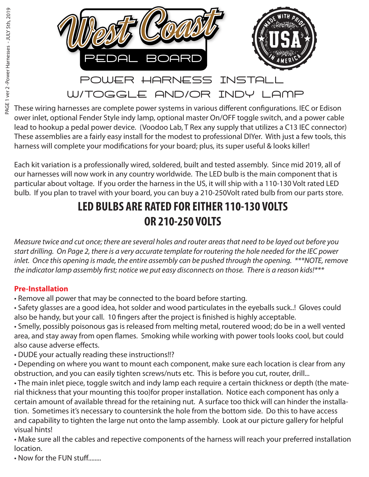

These wiring harnesses are complete power systems in various different configurations. IEC or Edison ower inlet, optional Fender Style indy lamp, optional master On/OFF toggle switch, and a power cable lead to hookup a pedal power device. (Voodoo Lab, T Rex any supply that utilizes a C13 IEC connector) These assemblies are a fairly easy install for the modest to professional DIYer. With just a few tools, this harness will complete your modifications for your board; plus, its super useful & looks killer!

Each kit variation is a professionally wired, soldered, built and tested assembly. Since mid 2019, all of our harnesses will now work in any country worldwide. The LED bulb is the main component that is particular about voltage. If you order the harness in the US, it will ship with a 110-130 Volt rated LED bulb. If you plan to travel with your board, you can buy a 210-250Volt rated bulb from our parts store.

## **LED BULBS ARE RATED FOR EITHER 110-130 VOLTS OR 210-250 VOLTS**

*Measure twice and cut once; there are several holes and router areas that need to be layed out before you start drilling. On Page 2, there is a very accurate template for routering the hole needed for the IEC power inlet. Once this opening is made, the entire assembly can be pushed through the opening. \*\*\*NOTE, remove*  the indicator lamp assembly first; notice we put easy disconnects on those. There is a reason kids!\*\*\*

#### **Pre-Installation**

- Remove all power that may be connected to the board before starting.
- Safety glasses are a good idea, hot solder and wood particulates in the eyeballs suck..! Gloves could also be handy, but your call. 10 fingers after the project is finished is highly acceptable.
- Smelly, possibly poisonous gas is released from melting metal, routered wood; do be in a well vented area, and stay away from open flames. Smoking while working with power tools looks cool, but could also cause adverse effects.
- DUDE your actually reading these instructions!!?
- Depending on where you want to mount each component, make sure each location is clear from any obstruction, and you can easily tighten screws/nuts etc. This is before you cut, router, drill...
- The main inlet piece, toggle switch and indy lamp each require a certain thickness or depth (the material thickness that your mounting this too)for proper installation. Notice each component has only a certain amount of available thread for the retaining nut. A surface too thick will can hinder the installation. Sometimes it's necessary to countersink the hole from the bottom side. Do this to have access and capability to tighten the large nut onto the lamp assembly. Look at our picture gallery for helpful visual hints!
- Make sure all the cables and repective components of the harness will reach your preferred installation location.

• Now for the FUN stuff........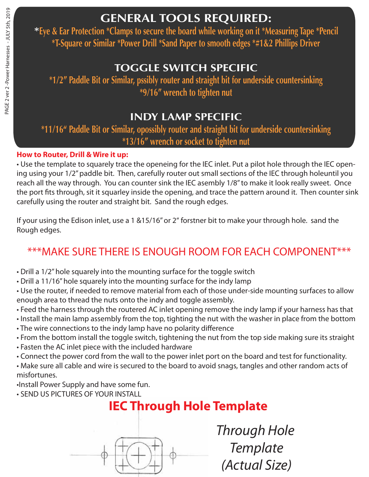### **GENERAL TOOLS REQUIRED:**

**\*Eye & Ear Protection \*Clamps to secure the board while working on it \*Measuring Tape \*Pencil \*T-Square or Similar \*Power Drill \*Sand Paper to smooth edges \*#1&2 Phillips Driver**

### **TOGGLE SWITCH SPECIFIC**

**\*1/2" Paddle Bit or Similar, pssibly router and straight bit for underside countersinking \*9/16" wrench to tighten nut**

### **INDY LAMP SPECIFIC**

**\*11/16" Paddle Bit or Similar, opossibly router and straight bit for underside countersinking \*13/16" wrench or socket to tighten nut**

#### **How to Router, Drill & Wire it up:**

• Use the template to squarely trace the openeing for the IEC inlet. Put a pilot hole through the IEC opening using your 1/2" paddle bit. Then, carefully router out small sections of the IEC through holeuntil you reach all the way through. You can counter sink the IEC asembly 1/8" to make it look really sweet. Once the port fits through, sit it squarley inside the opening, and trace the pattern around it. Then counter sink carefully using the router and straight bit. Sand the rough edges.

If your using the Edison inlet, use a 1 &15/16" or 2" forstner bit to make your through hole. sand the Rough edges.

## \*\*\*MAKE SURE THERE IS ENOUGH ROOM FOR EACH COMPONENT\*\*\*

- Drill a 1/2" hole squarely into the mounting surface for the toggle switch
- Drill a 11/16" hole squarely into the mounting surface for the indy lamp
- Use the router, if needed to remove material from each of those under-side mounting surfaces to allow enough area to thread the nuts onto the indy and toggle assembly.
- Feed the harness through the routered AC inlet opening remove the indy lamp if your harness has that
- Install the main lamp assembly from the top, tighting the nut with the washer in place from the bottom
- The wire connections to the indy lamp have no polarity difference
- From the bottom install the toggle switch, tightening the nut from the top side making sure its straight
- Fasten the AC inlet piece with the included hardware
- Connect the power cord from the wall to the power inlet port on the board and test for functionality.
- Make sure all cable and wire is secured to the board to avoid snags, tangles and other random acts of misfortunes.
- •Install Power Supply and have some fun.
- SEND US PICTURES OF YOUR INSTALL

# **IEC Through Hole Template**



*Through Hole Template (Actual Size)*